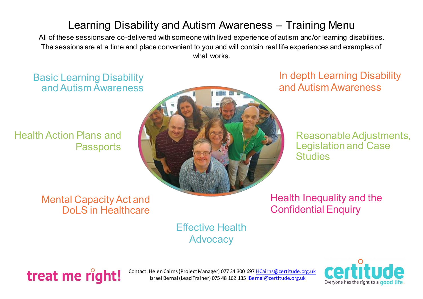# Learning Disability and Autism Awareness – Training Menu

All of these sessions are co-delivered with someone with lived experience of autism and/or learning disabilities. The sessions are at a time and place convenient to you and will contain real life experiences and examples of what works.

Basic Learning Disability and Autism Awareness

Health Action Plans and **Passports** 



In depth Learning Disability and Autism Awareness

> Reasonable Adjustments, Legislation and Case **Studies**

Mental Capacity Act and Dol S in Healthcare

Health Inequality and the Confidential Enquiry

Effective Health **Advocacy** 



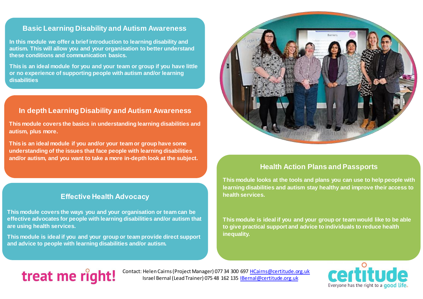#### **Basic Learning Disability and Autism Awareness**

**In this module we offer a brief introduction to learning disability and autism. This will allow you and your organisation to better understand these conditions and communication basics.**

**This is an ideal module for you and your team or group if you have little or no experience of supporting people with autism and/or learning disabilities**

#### **In depth Learning Disability and Autism Awareness**

**This module covers the basics in understanding learning disabilities and autism, plus more.**

**This is an ideal module if you and/or your team or group have some understanding of the issues that face people with learning disabilities and/or autism, and you want to take a more in-depth look at the subject.**

## **Effective Health Advocacy**

**This module covers the ways you and your organisation or team can be effective advocates for people with learning disabilities and/or autism that are using health services.**

**This module is ideal if you and your group or team provide direct support and advice to people with learning disabilities and/or autism.**



#### **Health Action Plans and Passports**

**This module looks at the tools and plans you can use to help people with learning disabilities and autism stay healthy and improve their access to health services.** 

**This module is ideal if you and your group or team would like to be able to give practical support and advice to individuals to reduce health inequality.**

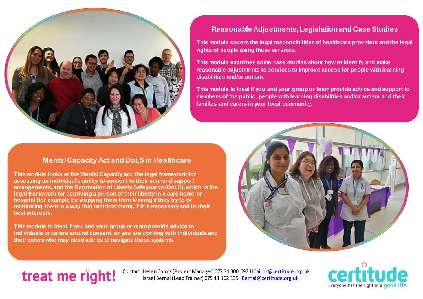

## **Reasonable Adjustments, Legislation and Case Studies**

**This module covers the legal responsibilities of healthcare providers and the legal rights of people using these services.**

**This module examines some case studies about how to identify and make reasonable adjustments to services to improve access for people with learning disabilities and/or autism.**

**This module is ideal if you and your group or team provide advice and support to members of the public, people with learning disabilities and/or autism and their families and carers in your local community.**

#### **Mental Capacity Act and DoLS in Healthcare**

**This module looks at the Mental Capacity act, the legal framework for assessing an individual's ability to consent to their care and support arrangements, and the Deprivation of Liberty Safeguards (DoLS), which is the legal framework for depriving a person of their liberty in a care home or hospital (for example by stopping them from leaving if they try to or monitoring them in a way that restricts them), if it is necessary and in their best interests.**

**This module is ideal if you and your group or team provide advice to individuals or carers around consent, or you are working with individuals and their carers who may need advice to navigate these systems.**